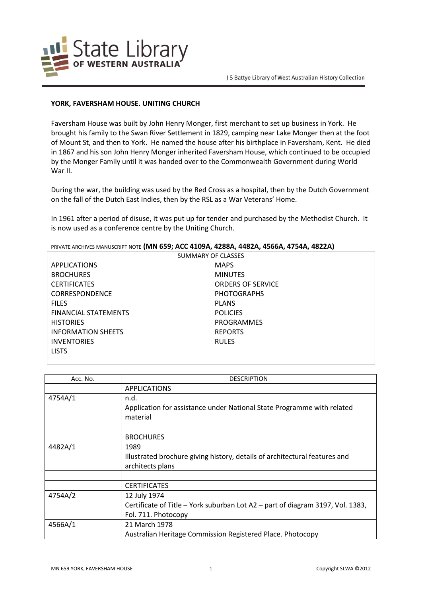

## **YORK, FAVERSHAM HOUSE. UNITING CHURCH**

Faversham House was built by John Henry Monger, first merchant to set up business in York. He brought his family to the Swan River Settlement in 1829, camping near Lake Monger then at the foot of Mount St, and then to York. He named the house after his birthplace in Faversham, Kent. He died in 1867 and his son John Henry Monger inherited Faversham House, which continued to be occupied by the Monger Family until it was handed over to the Commonwealth Government during World War II.

During the war, the building was used by the Red Cross as a hospital, then by the Dutch Government on the fall of the Dutch East Indies, then by the RSL as a War Veterans' Home.

In 1961 after a period of disuse, it was put up for tender and purchased by the Methodist Church. It is now used as a conference centre by the Uniting Church.

| SUMMARY OF CLASSES          |                          |  |
|-----------------------------|--------------------------|--|
| <b>APPLICATIONS</b>         | <b>MAPS</b>              |  |
| <b>BROCHURES</b>            | <b>MINUTES</b>           |  |
| <b>CERTIFICATES</b>         | <b>ORDERS OF SERVICE</b> |  |
| <b>CORRESPONDENCE</b>       | <b>PHOTOGRAPHS</b>       |  |
| <b>FILES</b>                | <b>PLANS</b>             |  |
| <b>FINANCIAL STATEMENTS</b> | <b>POLICIES</b>          |  |
| <b>HISTORIES</b>            | PROGRAMMES               |  |
| <b>INFORMATION SHEFTS</b>   | <b>REPORTS</b>           |  |
| <b>INVENTORIES</b>          | <b>RULES</b>             |  |
| LISTS.                      |                          |  |
|                             |                          |  |

PRIVATE ARCHIVES MANUSCRIPT NOTE **(MN 659; ACC 4109A, 4288A, 4482A, 4566A, 4754A, 4822A)**

| Acc. No. | <b>DESCRIPTION</b>                                                             |
|----------|--------------------------------------------------------------------------------|
|          | <b>APPLICATIONS</b>                                                            |
| 4754A/1  | n.d.                                                                           |
|          | Application for assistance under National State Programme with related         |
|          | material                                                                       |
|          |                                                                                |
|          | <b>BROCHURES</b>                                                               |
| 4482A/1  | 1989                                                                           |
|          | Illustrated brochure giving history, details of architectural features and     |
|          | architects plans                                                               |
|          |                                                                                |
|          | <b>CERTIFICATES</b>                                                            |
| 4754A/2  | 12 July 1974                                                                   |
|          | Certificate of Title – York suburban Lot A2 – part of diagram 3197, Vol. 1383, |
|          | Fol. 711. Photocopy                                                            |
| 4566A/1  | 21 March 1978                                                                  |
|          | Australian Heritage Commission Registered Place. Photocopy                     |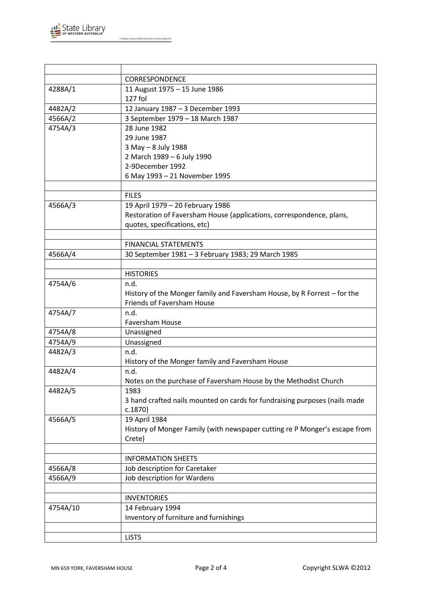

J S Battye Library of West Australian History Collection

|          | <b>CORRESPONDENCE</b>                                                      |
|----------|----------------------------------------------------------------------------|
| 4288A/1  | 11 August 1975 - 15 June 1986                                              |
|          | 127 fol                                                                    |
| 4482A/2  | 12 January 1987 - 3 December 1993                                          |
| 4566A/2  | 3 September 1979 - 18 March 1987                                           |
| 4754A/3  | 28 June 1982                                                               |
|          | 29 June 1987                                                               |
|          | 3 May - 8 July 1988                                                        |
|          | 2 March 1989 - 6 July 1990                                                 |
|          | 2-9December 1992                                                           |
|          | 6 May 1993 - 21 November 1995                                              |
|          |                                                                            |
|          | <b>FILES</b>                                                               |
| 4566A/3  | 19 April 1979 - 20 February 1986                                           |
|          | Restoration of Faversham House (applications, correspondence, plans,       |
|          | quotes, specifications, etc)                                               |
|          |                                                                            |
|          | <b>FINANCIAL STATEMENTS</b>                                                |
| 4566A/4  | 30 September 1981 - 3 February 1983; 29 March 1985                         |
|          |                                                                            |
|          | <b>HISTORIES</b>                                                           |
| 4754A/6  | n.d.                                                                       |
|          | History of the Monger family and Faversham House, by R Forrest - for the   |
|          | Friends of Faversham House                                                 |
| 4754A/7  | n.d.<br>Faversham House                                                    |
| 4754A/8  | Unassigned                                                                 |
| 4754A/9  | Unassigned                                                                 |
| 4482A/3  | n.d.                                                                       |
|          | History of the Monger family and Faversham House                           |
| 4482A/4  | n.d.                                                                       |
|          | Notes on the purchase of Faversham House by the Methodist Church           |
| 4482A/5  | 1983                                                                       |
|          | 3 hand crafted nails mounted on cards for fundraising purposes (nails made |
|          | c.1870                                                                     |
| 4566A/5  | 19 April 1984                                                              |
|          | History of Monger Family (with newspaper cutting re P Monger's escape from |
|          | Crete)                                                                     |
|          |                                                                            |
|          | <b>INFORMATION SHEETS</b>                                                  |
| 4566A/8  | Job description for Caretaker                                              |
| 4566A/9  | Job description for Wardens                                                |
|          |                                                                            |
|          | <b>INVENTORIES</b>                                                         |
| 4754A/10 | 14 February 1994                                                           |
|          | Inventory of furniture and furnishings                                     |
|          |                                                                            |
|          | <b>LISTS</b>                                                               |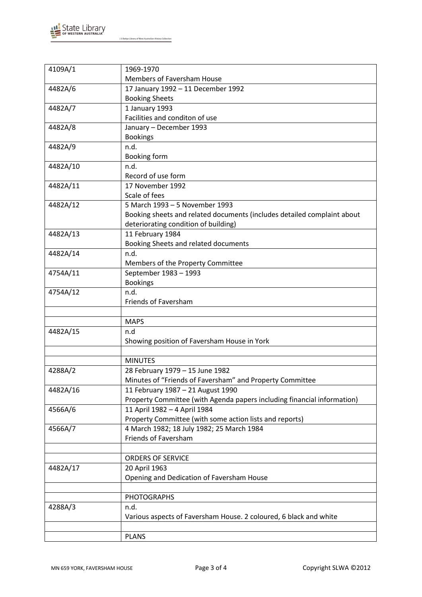

J S Battye Library of West Australian History Collection

| 4109A/1  | 1969-1970                                                               |
|----------|-------------------------------------------------------------------------|
|          | <b>Members of Faversham House</b>                                       |
|          |                                                                         |
| 4482A/6  | 17 January 1992 - 11 December 1992<br><b>Booking Sheets</b>             |
|          |                                                                         |
| 4482A/7  | 1 January 1993<br>Facilities and conditon of use                        |
|          |                                                                         |
| 4482A/8  | January - December 1993                                                 |
|          | <b>Bookings</b>                                                         |
| 4482A/9  | n.d.                                                                    |
|          | Booking form                                                            |
| 4482A/10 | n.d.                                                                    |
|          | Record of use form                                                      |
| 4482A/11 | 17 November 1992                                                        |
|          | Scale of fees                                                           |
| 4482A/12 | 5 March 1993 - 5 November 1993                                          |
|          | Booking sheets and related documents (includes detailed complaint about |
|          | deteriorating condition of building)                                    |
| 4482A/13 | 11 February 1984                                                        |
|          | Booking Sheets and related documents                                    |
| 4482A/14 | n.d.                                                                    |
|          | Members of the Property Committee                                       |
| 4754A/11 | September 1983 - 1993                                                   |
|          | <b>Bookings</b>                                                         |
| 4754A/12 | n.d.                                                                    |
|          | Friends of Faversham                                                    |
|          |                                                                         |
|          | <b>MAPS</b>                                                             |
| 4482A/15 | n.d                                                                     |
|          | Showing position of Faversham House in York                             |
|          |                                                                         |
|          | <b>MINUTES</b>                                                          |
| 4288A/2  | 28 February 1979 - 15 June 1982                                         |
|          | Minutes of "Friends of Faversham" and Property Committee                |
| 4482A/16 | 11 February 1987 - 21 August 1990                                       |
|          | Property Committee (with Agenda papers including financial information) |
| 4566A/6  | 11 April 1982 - 4 April 1984                                            |
|          | Property Committee (with some action lists and reports)                 |
| 4566A/7  | 4 March 1982; 18 July 1982; 25 March 1984                               |
|          | Friends of Faversham                                                    |
|          |                                                                         |
|          | <b>ORDERS OF SERVICE</b>                                                |
| 4482A/17 | 20 April 1963                                                           |
|          | Opening and Dedication of Faversham House                               |
|          |                                                                         |
|          | <b>PHOTOGRAPHS</b>                                                      |
| 4288A/3  | n.d.                                                                    |
|          | Various aspects of Faversham House. 2 coloured, 6 black and white       |
|          |                                                                         |
|          | <b>PLANS</b>                                                            |